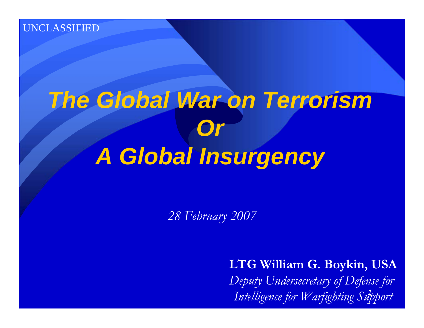# *The Global War on Terrorism Or A Global Insurgency*

*28 February 2007*

*1 Intelligence for Warfighting Support***LTG William G. Boykin, USA** *Deputy Undersecretary of Defense for*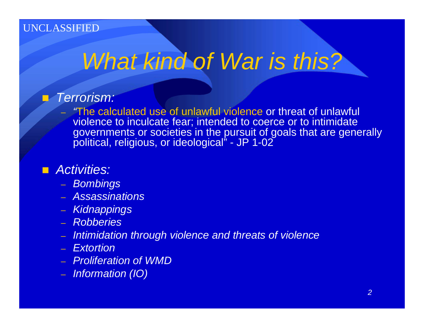# *What kind of War is this?*

#### *Terrorism:*

– *"*The calculated use of unlawful violence or threat of unlawful violence to inculcate fear; intended to coerce or to intimidate governments or societies in the pursuit of goals that are generally political, religious, or ideological" - JP 1-02

#### *Activities:*

- *Bombings*
- *Assassinations*
- *Kidnappings*
- *Robberies*
- *Intimidation through violence and threats of violence*
- *Extortion*
- *Proliferation of WMD*
- *Information (IO)*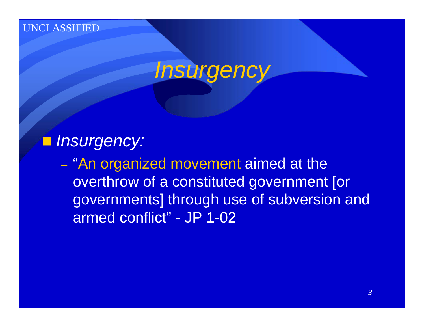

### *Insurgency:*

– "An organized movement aimed at the overthrow of a constituted government [or governments] through use of subversion and armed conflict" - JP 1-02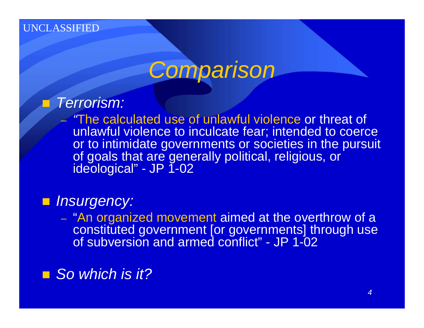–

## *Comparison*

#### e de *Terrorism:*

*"*The calculated use of unlawful violence or threat of unlawful violence to inculcate fear; intended to coerce or to intimidate governments or societies in the pursuit of goals that are generally political, religious, or ideological" - JP 1-02

### *Insurgency:*

– "An organized movement aimed at the overthrow of a constituted government [or governments] through use of subversion and armed conflict" - JP 1-02

### ■ So which is it?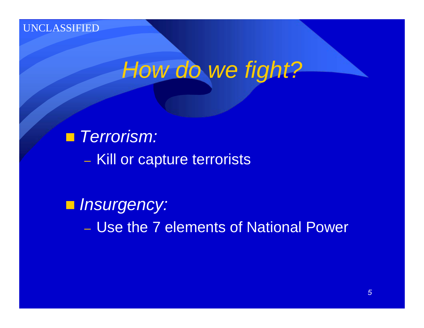## *How do we fight?*

 *Terrorism:* – Kill or capture terrorists

 *Insurgency:* – Use the 7 elements of National Power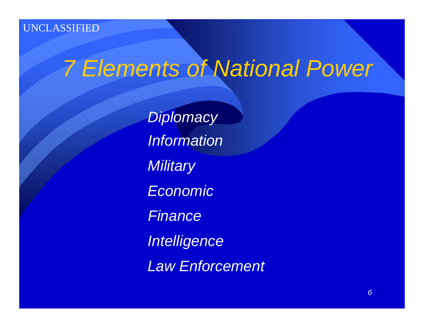## *7 Elements of National Power*

*Diplomacy InformationMilitary Economic Finance Intelligence Law Enforcement*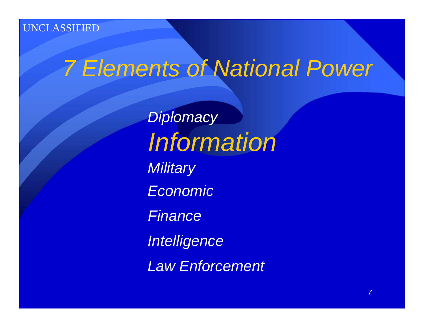# *7 Elements of National Power*

*Diplomacy Information Military Economic FinanceIntelligence Law Enforcement*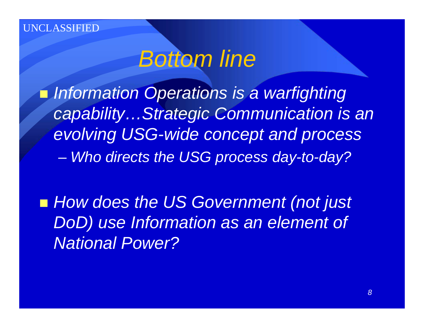**TLASSIFIED** 

## *Bottom line*

 *Information Operations is a warfighting capability…Strategic Communication is an evolving USG-wide concept and process* – *Who directs the USG process day-to-day?*

■ How does the US Government (not just *DoD) use Information as an element of National Power?*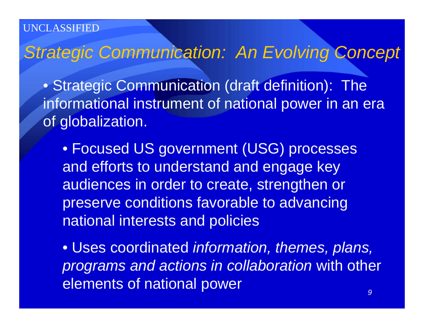**ASSIFIED** 

*Strategic Communication: An Evolving Concept*

• Strategic Communication (draft definition): The informational instrument of national power in an era of globalization.

• Focused US government (USG) processes and efforts to understand and engage key audiences in order to create, strengthen or preserve conditions favorable to advancing national interests and policies

• Uses coordinated *information, themes, plans, programs and actions in collaboration* with other elements of national power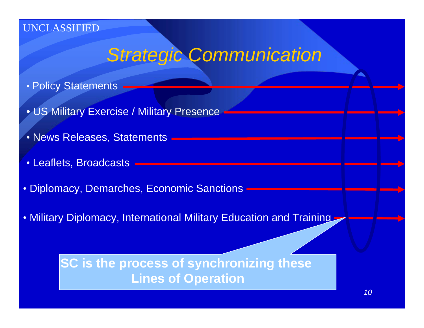### *Strategic Communication*

- Policy Statements
- US Military Exercise / Military Presence
- News Releases, Statements
- Leaflets, Broadcasts
- Diplomacy, Demarches, Economic Sanctions
- Military Diplomacy, International Military Education and Training

**SC is the process of synchronizing these Lines of Operation**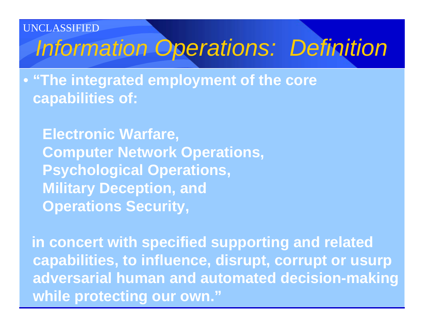**ASSIFIED** 

## *Information Operations: Definition*

• **"The integrated employment of the core capabilities of:**

**Electronic Warfare, Computer Network Operations, Psychological Operations, Military Deception, and Operations Security,**

**in concert with specified supporting and related capabilities, to influence, disrupt, corrupt or usurp adversarial human and automated decision-making while protecting our own."**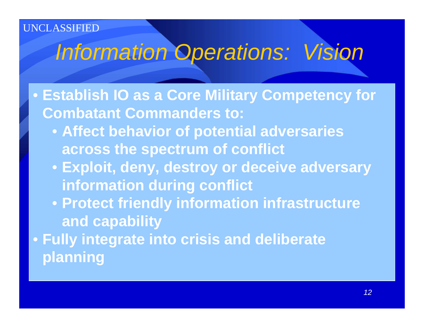#### **ASSIFIED**

## *Information Operations: Vision*

• **Establish IO as a Core Military Competency for Combatant Commanders to:**

- **Affect behavior of potential adversaries across the spectrum of conflict**
- **Exploit, deny, destroy or deceive adversary information during conflict**
- **Protect friendly information infrastructure and capability**

• **Fully integrate into crisis and deliberate planning**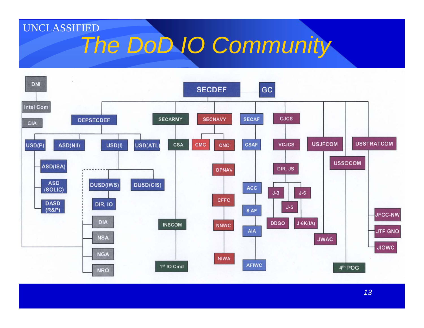### UNCLASSIFIED*The DoD IO Community*

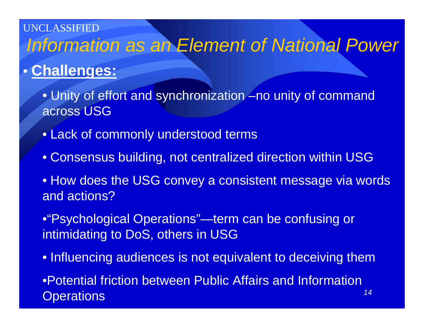### UNCLASSIFIED*Information as an Element of National Power*

### • **Challenges:**

• Unity of effort and synchronization -no unity of command across USG

- Lack of commonly understood terms
- Consensus building, not centralized direction within USG
- How does the USG convey a consistent message via words and actions?
- •"Psychological Operations"—term can be confusing or intimidating to DoS, others in USG
- *14*• Influencing audiences is not equivalent to deceiving them •Potential friction between Public Affairs and Information **Operations**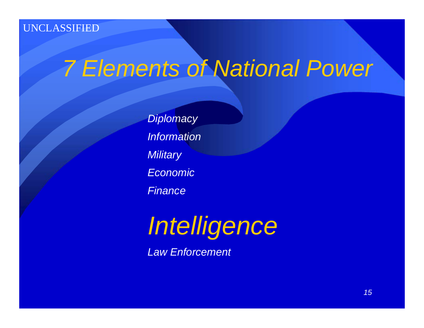## *7 Elements of National Power*

*Diplomacy Information Military Economic Finance*

*Intelligence*

*Law Enforcement*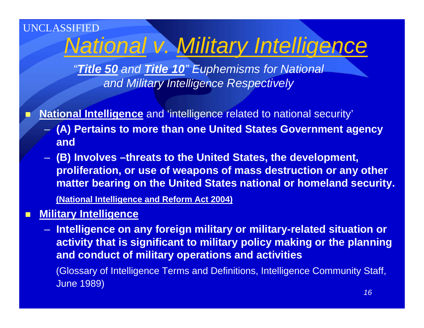### UNCLASSIFIED*National v. Military Intelligence*

*"Title 50 and Title 10" Euphemisms for National and Military Intelligence Respectively*

**National Intelligence** and 'intelligence related to national security'

- **(A) Pertains to more than one United States Government agency and**
- **(B) Involves –threats to the United States, the development, proliferation, or use of weapons of mass destruction or any other matter bearing on the United States national or homeland security.**

**(National Intelligence and Reform Act 2004)**

П **Military Intelligence**

F.

– **Intelligence on any foreign military or military-related situation or activity that is significant to military policy making or the planning and conduct of military operations and activities**

(Glossary of Intelligence Terms and Definitions, Intelligence Community Staff, June 1989)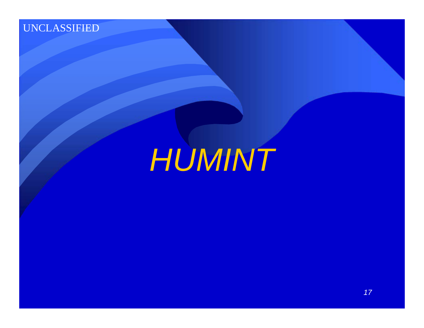*HUMINT*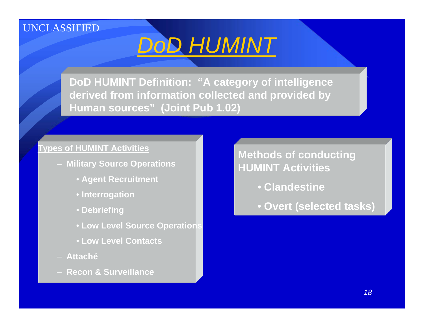

**DoD HUMINT Definition: "A category of intelligence derived from information collected and provided by Human sources" (Joint Pub 1.02)**

#### **Types of HUMINT Activities**

- **Military Source Operations**
	- **Agent Recruitment**
	- **Interrogation**
	- **Debriefing**
	- **Low Level Source Operations**
	- **Low Level Contacts**
- **Attaché**
- **Recon & Surveillance**

**Methods of conducting HUMINT Activities**

- **Clandestine**
- **Overt (selected tasks)**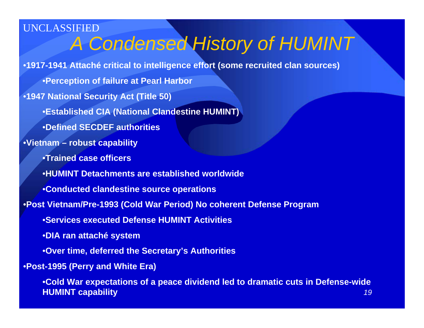*19*UNCLASSIFIED•**1917-1941 Attaché critical to intelligence effort (some recruited clan sources)** •**Perception of failure at Pearl Harbor** •**1947 National Security Act (Title 50)**  •**Established CIA (National Clandestine HUMINT)** •**Defined SECDEF authorities**•**Vietnam – robust capability** •**Trained case officers**•**HUMINT Detachments are established worldwide**•**Conducted clandestine source operations** •**Post Vietnam/Pre-1993 (Cold War Period) No coherent Defense Program** •**Services executed Defense HUMINT Activities** •**DIA ran attaché system** •**Over time, deferred the Secretary's Authorities** •**Post-1995 (Perry and White Era)** •**Cold War expectations of a peace dividend led to dramatic cuts in Defense-wide HUMINT capability**  *A Condensed History of HUMINT*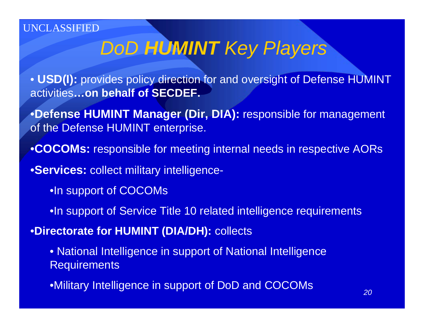## *DoD HUMINT Key Players*

• **USD(I):** provides policy direction for and oversight of Defense HUMINT activities**…on behalf of SECDEF.**

- •**Defense HUMINT Manager (Dir, DIA):** responsible for management of the Defense HUMINT enterprise.
- •**COCOMs:** responsible for meeting internal needs in respective AORs

•**Services:** collect military intelligence-

- •In support of COCOMs
- •In support of Service Title 10 related intelligence requirements

•**Directorate for HUMINT (DIA/DH):** collects

- National Intelligence in support of National Intelligence **Requirements**
- •Military Intelligence in support of DoD and COCOMs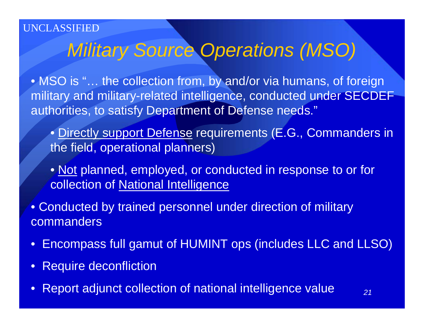### *Military Source Operations (MSO)*

• MSO is "... the collection from, by and/or via humans, of foreign military and military-related intelligence, conducted under SECDEF authorities, to satisfy Department of Defense needs."

- Directly support Defense requirements (E.G., Commanders in the field, operational planners)
- Not planned, employed, or conducted in response to or for collection of National Intelligence
- Conducted by trained personnel under direction of military commanders
- $\bullet$ Encompass full gamut of HUMINT ops (includes LLC and LLSO)
- $\bullet$ Require deconfliction
- Report adjunct collection of national intelligence value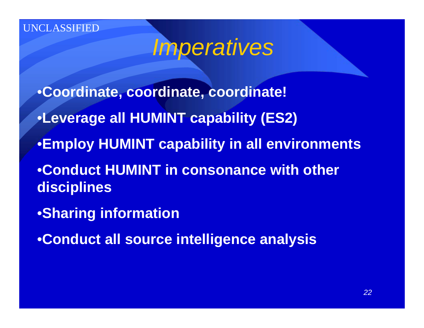*Imperatives*

•**Coordinate, coordinate, coordinate!**

- •**Leverage all HUMINT capability (ES2)**
- •**Employ HUMINT capability in all environments**

•**Conduct HUMINT in consonance with other disciplines**

•**Sharing information**

•**Conduct all source intelligence analysis**